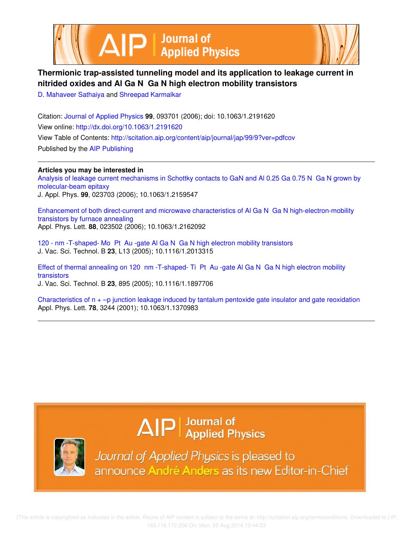



# **Thermionic trap-assisted tunneling model and its application to leakage current in nitrided oxides and Al Ga N Ga N high electron mobility transistors**

D. Mahaveer Sathaiya and Shreepad Karmalkar

Citation: Journal of Applied Physics **99**, 093701 (2006); doi: 10.1063/1.2191620 View online: http://dx.doi.org/10.1063/1.2191620 View Table of Contents: http://scitation.aip.org/content/aip/journal/jap/99/9?ver=pdfcov Published by the AIP Publishing

**Articles you may be interested in** Analysis of leakage current mechanisms in Schottky contacts to GaN and Al 0.25 Ga 0.75 N Ga N grown by molecular-beam epitaxy J. Appl. Phys. **99**, 023703 (2006); 10.1063/1.2159547

Enhancement of both direct-current and microwave characteristics of Al Ga N Ga N high-electron-mobility transistors by furnace annealing Appl. Phys. Lett. **88**, 023502 (2006); 10.1063/1.2162092

120 - nm -T-shaped- Mo Pt Au -gate Al Ga N Ga N high electron mobility transistors J. Vac. Sci. Technol. B **23**, L13 (2005); 10.1116/1.2013315

Effect of thermal annealing on 120 nm -T-shaped- Ti Pt Au -gate Al Ga N Ga N high electron mobility transistors

J. Vac. Sci. Technol. B **23**, 895 (2005); 10.1116/1.1897706

Characteristics of  $n + -p$  junction leakage induced by tantalum pentoxide gate insulator and gate reoxidation Appl. Phys. Lett. **78**, 3244 (2001); 10.1063/1.1370983

# $\Delta$   $\vert P \vert$  Journal of Applied Physics



Journal of Applied Physics is pleased to announce André Anders as its new Editor-in-Chief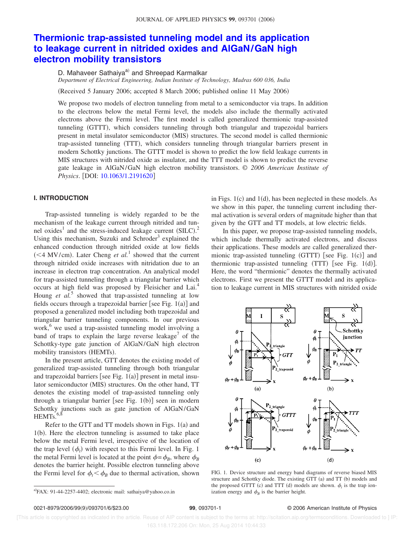# **Thermionic trap-assisted tunneling model and its application to leakage current in nitrided oxides and AlGaN/GaN high electron mobility transistors**

D. Mahaveer Sathaiya<sup>a)</sup> and Shreepad Karmalkar

*Department of Electrical Engineering, Indian Institute of Technology, Madras 600 036, India*

Received 5 January 2006; accepted 8 March 2006; published online 11 May 2006-

We propose two models of electron tunneling from metal to a semiconductor via traps. In addition to the electrons below the metal Fermi level, the models also include the thermally activated electrons above the Fermi level. The first model is called generalized thermionic trap-assisted tunneling (GTTT), which considers tunneling through both triangular and trapezoidal barriers present in metal insulator semiconductor (MIS) structures. The second model is called thermionic trap-assisted tunneling (TTT), which considers tunneling through triangular barriers present in modern Schottky junctions. The GTTT model is shown to predict the low field leakage currents in MIS structures with nitrided oxide as insulator, and the TTT model is shown to predict the reverse gate leakage in AlGaN/GaN high electron mobility transistors. © *2006 American Institute of Physics.* [DOI: 10.1063/1.2191620]

## **I. INTRODUCTION**

Trap-assisted tunneling is widely regarded to be the mechanism of the leakage current through nitrided and tunnel oxides<sup>1</sup> and the stress-induced leakage current  $(SILC)<sup>2</sup>$ Using this mechanism, Suzuki and Schroder<sup>3</sup> explained the enhanced conduction through nitrided oxide at low fields  $(<$  4 MV/cm). Later Cheng *et al.*<sup>1</sup> showed that the current through nitrided oxide increases with nitridation due to an increase in electron trap concentration. An analytical model for trap-assisted tunneling through a triangular barrier which occurs at high field was proposed by Fleisicher and Lai.<sup>4</sup> Houng *et al.*<sup>5</sup> showed that trap-assisted tunneling at low fields occurs through a trapezoidal barrier [see Fig.  $1(a)$ ] and proposed a generalized model including both trapezoidal and triangular barrier tunneling components. In our previous work,<sup>6</sup> we used a trap-assisted tunneling model involving a band of traps to explain the large reverse leakage<sup>7</sup> of the Schottky-type gate junction of AlGaN/GaN high electron mobility transistors (HEMTs).

In the present article, GTT denotes the existing model of generalized trap-assisted tunneling through both triangular and trapezoidal barriers [see Fig.  $1(a)$ ] present in metal insulator semiconductor (MIS) structures. On the other hand, TT denotes the existing model of trap-assisted tunneling only through a triangular barrier [see Fig. 1(b)] seen in modern Schottky junctions such as gate junction of AlGaN/GaN  $HEMTs$ .  $6,8$ 

Refer to the GTT and TT models shown in Figs.  $1(a)$  and  $1(b)$ . Here the electron tunneling is assumed to take place below the metal Fermi level, irrespective of the location of the trap level  $(\phi_t)$  with respect to this Fermi level. In Fig. 1 the metal Fermi level is located at the point  $\phi = \phi_B$ , where  $\phi_B$ denotes the barrier height. Possible electron tunneling above the Fermi level for  $\phi_t < \phi_B$  due to thermal activation, shown

in Figs.  $1(c)$  and  $1(d)$ , has been neglected in these models. As we show in this paper, the tunneling current including thermal activation is several orders of magnitude higher than that given by the GTT and TT models, at low electric fields.

In this paper, we propose trap-assisted tunneling models, which include thermally activated electrons, and discuss their applications. These models are called generalized thermionic trap-assisted tunneling  $(GTTT)$  [see Fig. 1(c)] and thermionic trap-assisted tunneling  $(TTT)$  [see Fig. 1(d)]. Here, the word "thermionic" denotes the thermally activated electrons. First we present the GTTT model and its application to leakage current in MIS structures with nitrided oxide



FIG. 1. Device structure and energy band diagrams of reverse biased MIS structure and Schottky diode. The existing GTT (a) and TT (b) models and the proposed GTTT (c) and TTT (d) models are shown.  $\phi_t$  is the trap ionization energy and  $\phi_B$  is the barrier height.

#### 99, 093701-1 **99, 093701-1** © 2006 American Institute of Physics

 [This article is copyrighted as indicated in the article. Reuse of AIP content is subject to the terms at: http://scitation.aip.org/termsconditions. Downloaded to ] IP: 163.118.172.206 On: Mon, 25 Aug 2014 10:44:33

 $a$ FAX: 91-44-2257-4402; electronic mail: sathaiya@yahoo.co.in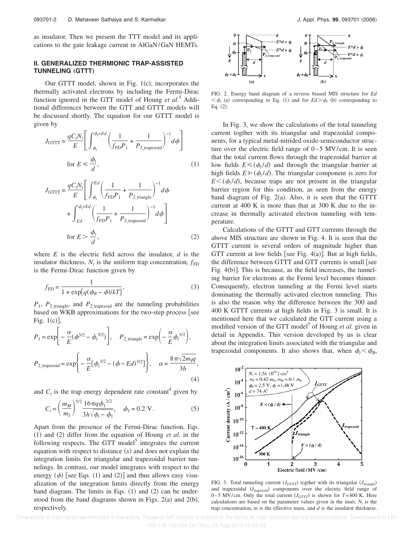as insulator. Then we present the TTT model and its applications to the gate leakage current in AlGaN/GaN HEMTs.

## **II. GENERALIZED THERMIONIC TRAP-ASSISTED TUNNELING** (GTTT)

Our GTTT model, shown in Fig.  $1(c)$ , incorporates the thermally activated electrons by including the Fermi-Dirac function ignored in the GTT model of Houng *et al.*<sup>5</sup> Additional differences between the GTT and GTTT models will be discussed shortly. The equation for our GTTT model is given by

$$
J_{\text{GTTT}} = \frac{qC_i N_t}{E} \left[ \int_{\phi_t}^{\phi_t + Ed} \left( \frac{1}{f_{\text{FD}} P_1} + \frac{1}{P_{2\_\text{trapezoid}}} \right)^{-1} d\phi \right]
$$
  
for  $E \le \frac{\phi_t}{d}$ , (1)

$$
J_{\text{GTTT}} = \frac{qC_t N_t}{E} \left[ \int_{\phi_t}^{Ed} \left( \frac{1}{f_{\text{FD}} P_1} + \frac{1}{P_{2\_triangle}} \right)^{-1} d\phi + \int_{Ed}^{\phi_t + Ed} \left( \frac{1}{f_{\text{FD}} P_1} + \frac{1}{P_{2\_image} \text{void}} \right)^{-1} d\phi \right]
$$
  
for  $E > \frac{\phi_t}{d}$ , (2)

where *E* is the electric field across the insulator, *d* is the insulator thickness,  $N_t$  is the uniform trap concentration,  $f_{FD}$ is the Fermi-Dirac function given by

$$
f_{\rm FD} = \frac{1}{1 + \exp[q(\phi_B - \phi)/kT]},\tag{3}
$$

 $P_1$ ,  $P_2$ <sub>triangle</sub>, and  $P_2$ <sub>trapezoid</sub> are the tunneling probabilities based on WKB approximations for the two-step process [see Fig.  $1(c)$ ],

$$
P_1 = \exp\left[-\frac{\alpha}{E}(\phi^{3/2} - \phi_t^{3/2})\right], \quad P_{2\_triangle} = \exp\left(-\frac{\alpha}{E}\phi_t^{3/2}\right),
$$

$$
P_{2\_trapezoid} = \exp\left\{-\frac{\alpha}{E}[\phi_t^{3/2} - (\phi - Ed)^{3/2}]\right\}, \quad \alpha = \frac{8\pi\sqrt{2m_fq}}{3h},
$$
(4)

and  $C_t$  is the trap energy dependent rate constant<sup>4</sup> given by

$$
C_t = \left(\frac{m_M}{m_I}\right)^{5/2} \frac{16\pi q \phi_1^{3/2}}{3h\sqrt{\phi_t - \phi_1}}, \quad \phi_1 = 0.2 \text{ V}.
$$
 (5)

Apart from the presence of the Fermi-Dirac function, Eqs.  $(1)$  and  $(2)$  differ from the equation of Houng *et al.* in the following respects. The GTT model<sup>5</sup> integrates the current equation with respect to distance  $(x)$  and does not explain the integration limits for triangular and trapezoidal barrier tunnelings. In contrast, our model integrates with respect to the energy  $(\phi)$  [see Eqs. (1) and (2)] and thus allows easy visualization of the integration limits directly from the energy band diagram. The limits in Eqs.  $(1)$  and  $(2)$  can be understood from the band diagrams shown in Figs.  $2(a)$  and  $2(b)$ , respectively.



FIG. 2. Energy band diagram of a reverse biased MIS structure for *Ed*  $\langle \phi_t$  (a) corresponding to Eq. (1) and for  $Ed > \phi_t$  (b) corresponding to Eq.  $(2)$ .

In Fig. 3, we show the calculations of the total tunneling current togther with its triangular and trapezoidal components, for a typical metal-nitrided oxide-semiconductor structure over the electric field range of 0–5 MV/cm. It is seen that the total current flows through the trapezoidal barrier at low fields  $E \leq (\phi_t/d)$  and through the triangular barrier at high fields  $E \geqslant (\phi_t/d)$ . The triangular component is zero for  $E<(\phi_t/d)$ , because traps are not present in the triangular barrier region for this condition, as seen from the energy band diagram of Fig.  $2(a)$ . Also, it is seen that the GTTT current at 400 K is more than that at 300 K due to the increase in thermally activated electron tunneling with temperature.

Calculations of the GTTT and GTT currents through the above MIS structure are shown in Fig. 4. It is seen that the GTTT current is several orders of magnitude higher than GTT current at low fields [see Fig.  $4(a)$ ]. But at high fields, the difference between GTTT and GTT currents is small [see Fig.  $4(b)$ ]. This is because, as the field increases, the tunneling barrier for electrons at the Fermi level becomes thinner. Consequently, electron tunneling at the Fermi level starts dominating the thermally activated electron tunneling. This is also the reason why the difference between the 300 and 400 K GTTT currents at high fields in Fig. 3 is small. It is mentioned here that we calculated the GTT current using a modified version of the GTT model<sup>5</sup> of Houng et al. given in detail in Appendix. This version developed by us is clear about the integration limits associated with the triangular and trapezoidal components. It also shows that, when  $\phi_t < \phi_B$ ,



FIG. 3. Total tunneling current  $(J<sub>GTTT</sub>)$  togther with its triangular  $(J<sub>triangle</sub>)$ and trapezoidal (*J*<sub>trapezoid</sub>) components over the electric field range of 0–5 MV/cm. Only the total current  $(J<sub>GTTT</sub>)$  is shown for  $T=400$  K. Here calculations are based on the parameter values given in the inset.  $N<sub>t</sub>$  is the trap concentration, *m* is the effective mass, and *d* is the insulator thickness.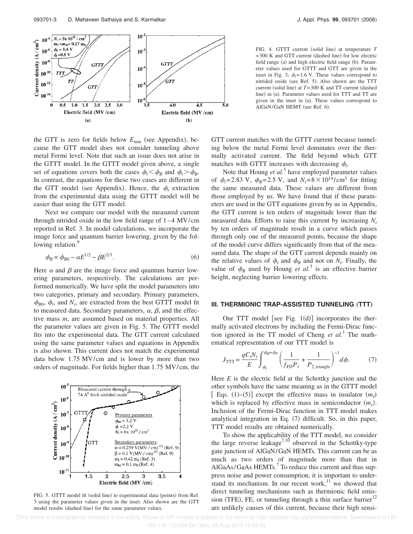

the GTT is zero for fields below  $E_{\text{min}}$  (see Appendix), because the GTT model does not consider tunneling above metal Fermi level. Note that such an issue does not arise in the GTTT model. In the GTTT model given above, a single set of equations covers both the cases  $\phi_t < \phi_B$  and  $\phi_t > \phi_B$ . In contrast, the equations for these two cases are different in the GTT model (see Appendix). Hence, the  $\phi_t$  extraction from the experimental data using the GTTT model will be easier than using the GTT model.

Next we compare our model with the measured current through nitrided oxide in the low field range of 1–4 MV/cm reported in Ref. 3. In model calculations, we incorporate the image force and quantum barrier lowering, given by the following relation:<sup>9</sup>

$$
\phi_B = \phi_{B0} - \alpha E^{1/2} - \beta E^{2/3}.
$$
\n(6)

Here  $\alpha$  and  $\beta$  are the image force and quantum barrier lowering parameters, respectively. The calculations are performed numerically. We have split the model parameters into two categories, primary and secondary. Primary parameters,  $\phi_{B0}$ ,  $\phi_t$ , and  $N_t$ , are extracted from the best GTTT model fit to measured data. Secondary parameters,  $\alpha$ ,  $\beta$ , and the effective mass *m*, are assumed based on material properties. All the parameter values are given in Fig. 5. The GTTT model fits into the experimental data. The GTT current calculated using the same parameter values and equations in Appendix is also shown. This current does not match the experimental data below 1.75 MV/cm and is lower by more than two orders of magnitude. For fields higher than 1.75 MV/cm, the



FIG. 5. GTTT model fit (solid line) to experimental data (points) from Ref. 3 using the parameter values given in the inset. Also shown are the GTT model results (dashed line) for the same parameter values.

FIG. 4. GTTT current (solid line) at temperature *T*  $=300$  K and GTT current (dashed line) for low electric field range (a) and high electric field range (b). Parameter values used for GTTT and GTT are given in the inset in Fig. 3;  $\phi_t = 1.6$  V. These values correspond to nitrided oxide (see Ref. 5). Also shown are the TTT current (solid line) at  $T=300$  K and TT current (dashed line) in (a). Parameter values used for TTT and TT are given in the inset in (a). These values correspond to AlGaN/GaN HEMT (see Ref. 6).

GTT current matches with the GTTT current because tunneling below the metal Fermi level dominates over the thermally activated current. The field beyond which GTT matches with GTTT increases with decreasing  $\phi_t$ .

Note that Houng *et al.*<sup>5</sup> have employed parameter values of  $\phi_t = 2.83 \text{ V}$ ,  $\phi_B = 2.5 \text{ V}$ , and  $N_t = 8 \times 10^{14} / \text{ cm}^3$  for fitting the same measured data. These values are different from those employed by us. We have found that if these parameters are used in the GTT equations given by us in Appendix, the GTT current is ten orders of magnitude lower than the measured data. Efforts to raise this current by increasing *N<sup>t</sup>* by ten orders of magnitude result in a curve which passes through only one of the measured points, because the shape of the model curve differs significantly from that of the measured data. The shape of the GTT current depends mainly on the relative values of  $\phi_t$  and  $\phi_B$  and not on  $N_t$ . Finally, the value of  $\phi_B$  used by Houng *et al.*<sup>5</sup> is an effective barrier height, neglecting barrier lowering effects.

#### **III. THERMIONIC TRAP-ASSISTED TUNNELING (TTT)**

Our TTT model [see Fig.  $1(d)$ ] incorporates the thermally activated electrons by including the Fermi-Dirac function ignored in the TT model of Cheng *et al.*<sup>1</sup> The mathematical representation of our TTT model is

$$
J_{\text{TTT}} = \frac{qC_t N_t}{E} \int_{\phi_t}^{\phi_B + \phi_F} \left( \frac{1}{f_{\text{FD}} P_1} + \frac{1}{P_{2 \text{triangle}}} \right)^{-1} d\phi. \tag{7}
$$

Here *E* is the electric field at the Schottky junction and the other symbols have the same meaning as in the GTTT model [ Eqs.  $(1)$ – $(5)$ ] except the effective mass in insulator  $(m_l)$ which is replaced by effective mass in semiconductor  $(m<sub>s</sub>)$ . Inclusion of the Fermi-Dirac function in TTT model makes analytical integration in Eq. (7) difficult. So, in this paper, TTT model results are obtained numerically.

To show the applicability of the TTT model, we consider the large reverse leakage<sup>7,10</sup> observed in the Schottky-type gate junction of AlGaN/GaN HEMTs. This current can be as much as two orders of magnitude more than that in AlGaAs/GaAs HEMTs.<sup>7</sup> To reduce this current and thus suppress noise and power consumption, it is important to understand its mechanism. In our recent work, $11$  we showed that direct tunneling mechanisms such as thermionic field emission (TFE), FE, or tunneling through a thin surface barrier $12$ are unlikely causes of this current, because their high sensi-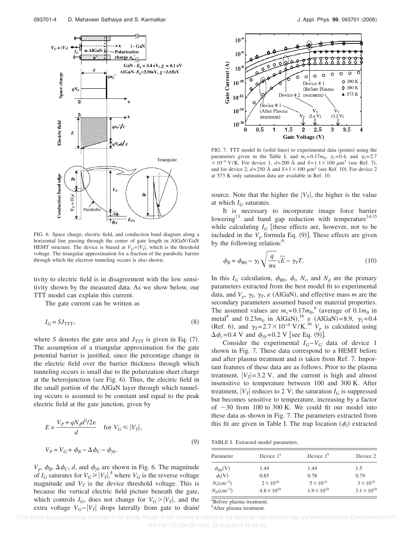

FIG. 6. Space charge, electric field, and conduction band diagram along a horizontal line passing through the center of gate length in AlGaN/GaN HEMT structure. The device is biased at  $V_G = |V_T|$ , which is the threshold voltage. The triangular approximation for a fraction of the parabolic barrier through which the electron tunneling occurs is also shown.

tivity to electric field is in disagreement with the low sensitivity shown by the measured data. As we show below, our TTT model can explain this current.

The gate current can be written as

$$
I_G = SJ_{TTT},
$$
\n<sup>(8)</sup>

where *S* denotes the gate area and  $J_{TTT}$  is given in Eq. (7). The assumption of a triangular approximation for the gate potential barrier is justified, since the percentage change in the electric field over the barrier thickness through which tunneling occurs is small due to the polarization sheet charge at the heterojunction (see Fig. 6). Thus, the electric field in the small portion of the AlGaN layer through which tunneling occurs is assumed to be constant and equal to the peak electric field at the gate junction, given by

$$
E = \frac{V_P + qN_d d^2 / 2\varepsilon}{d} \quad \text{for } V_G \le |V_T|,
$$
  

$$
V_P = V_G + \phi_B - \Delta \phi_C - \phi_{fb}.
$$
 (9)

 $V_p$ ,  $\phi_B$ ,  $\Delta \phi_C$ , *d*, and  $\phi_{fb}$  are shown in Fig. 6. The magnitude of  $I_G$  saturates for  $V_G \ge |V_T|$ ,<sup>8</sup> where  $V_G$  is the reverse voltage magnitude and  $V_T$  is the device threshold voltage. This is because the vertical electric field picture beneath the gate, which controls  $I_G$ , does not change for  $V_G > |V_T|$ , and the extra voltage  $V_G - |V_T|$  drops laterally from gate to drain/



FIG. 7. TTT model fit (solid lines) to experimental data (points) using the parameters given in the Table I, and  $m_s = 0.17m_0$ ,  $\gamma_1 = 0.4$ , and  $\gamma_T = 2.7$  $\times 10^{-4}$  V/K. For device 1,  $d=200$  Å and  $S=1.1\times 100 \ \mu \text{m}^2$  (see Ref. 7), and for device 2,  $d=250$  Å and  $S=1\times100 \ \mu \text{m}^2$  (see Ref. 10). For device 2 at 573 K only saturation data are available in Ref. 10.

source. Note that the higher the  $|V_T|$ , the higher is the value at which  $I_G$  saturates.

It is necessary to incorporate image force barrier lowering<sup>13</sup> and band gap reduction with temperature<sup>14,15</sup> while calculating  $I_G$  [these effects are, however, not to be included in the  $V_p$  formula Eq. (9)]. These effects are given by the following relation:<sup>6</sup>

$$
\phi_B = \phi_{B0} - \gamma_I \sqrt{\frac{q}{\pi \epsilon}} \sqrt{E} - \gamma_T T.
$$
\n(10)

In this  $I_G$  calculation,  $\phi_{B0}$ ,  $\phi_t$ ,  $N_t$ , and  $N_d$  are the primary parameters extracted from the best model fit to experimental data, and  $V_p$ ,  $\gamma_I$ ,  $\epsilon$  (AlGaN), and effective mass *m* are the secondary parameters assumed based on material properties. The assumed values are  $m_s = 0.17m_0$ , <sup>6</sup> (average of  $0.1m_0$  in metal<sup>4</sup> and 0.23m<sub>0</sub> in AlGaN),<sup>16</sup>  $\varepsilon$  (AlGaN)=8.9,  $\gamma_1$ =0.4 (Ref. 6), and  $\gamma_T = 2.7 \times 10^{-4} \text{ V/K}$ .<sup>16</sup>  $V_p$  is calculated using  $\Delta \phi_c = 0.4$  V and  $\phi_{fb} = 0.2$  V [see Eq. (9)].

Consider the experimental  $I_G - V_G$  data of device 1 shown in Fig. 7. These data correspond to a HEMT before and after plasma treatment and is taken from Ref. 7. Important features of these data are as follows. Prior to the plasma treatment,  $|V_T| = 3.2$  V, and the current is high and almost insensitive to temperature between 100 and 300 K. After treatment,  $|V_T|$  reduces to 2 V; the saturation  $I_G$  is suppressed but becomes sensitive to temperature, increasing by a factor of  $\sim$ 30 from 100 to 300 K. We could fit our model into these data as shown in Fig. 7. The parameters extracted from this fit are given in Table I. The trap location  $(\phi_t)$  extracted

TABLE I. Extracted model parameters.

| Parameter                       | Device $1a$          | Device $1b$          | Device 2             |
|---------------------------------|----------------------|----------------------|----------------------|
| $\phi_{R0}(V)$                  | 1.44                 | 1.44                 | 1.5                  |
| $\phi_i(V)$                     | 0.85                 | 0.78                 | 0.79                 |
| $N_{\rm r}$ (cm <sup>-3</sup> ) | $2 \times 10^{16}$   | $5 \times 10^{14}$   | $3 \times 10^{15}$   |
| $N_D$ (cm <sup>-3</sup> )       | $4.8 \times 10^{18}$ | $1.9 \times 10^{18}$ | $3.1 \times 10^{18}$ |

<sup>a</sup>Before plasma treatment. <sup>b</sup>After plasma treatment.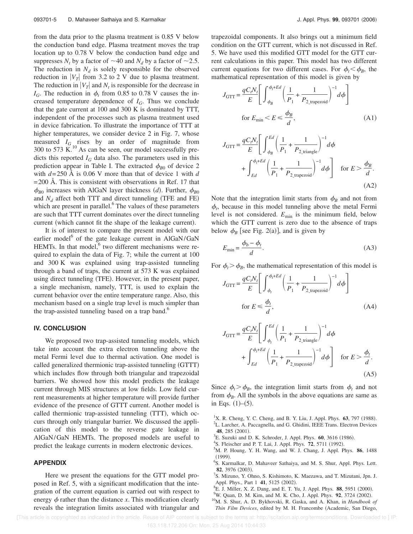from the data prior to the plasma treatment is 0.85 V below the conduction band edge. Plasma treatment moves the trap location up to 0.78 V below the conduction band edge and suppresses  $N_t$  by a factor of  $\sim$  40 and  $N_d$  by a factor of  $\sim$  2.5. The reduction in  $N_d$  is solely responsible for the observed reduction in  $|V_T|$  from 3.2 to 2 V due to plasma treatment. The reduction in  $|V_T|$  and  $N_t$  is responsible for the decrease in  $I_G$ . The reduction in  $\phi_t$  from 0.85 to 0.78 V causes the increased temperature dependence of  $I_G$ . Thus we conclude that the gate current at 100 and 300 K is dominated by TTT, independent of the processes such as plasma treatment used in device fabrication. To illustrate the importance of TTT at higher temperatures, we consider device 2 in Fig. 7, whose measured  $I_G$  rises by an order of magnitude from 300 to 573  $\check{K}^{10}$  As can be seen, our model successfully predicts this reported  $I_G$  data also. The parameters used in this prediction appear in Table I. The extracted  $\phi_{B0}$  of device 2 with *d*=250 Å is 0.06 V more than that of device 1 with *d*  $=$  200 Å. This is consistent with observations in Ref. 17 that  $\phi_{B0}$  increases with AlGaN layer thickness *(d)*. Further,  $\phi_{B0}$ and  $N_d$  affect both TTT and direct tunneling (TFE and FE) which are present in parallel.<sup>6</sup> The values of these parameters are such that TTT current dominates over the direct tunneling current (which cannot fit the shape of the leakage current).

It is of interest to compare the present model with our earlier model<sup>6</sup> of the gate leakage current in AlGaN/GaN HEMTs. In that model, $6$  two different mechanisms were required to explain the data of Fig. 7; while the current at 100 and 300 K was explained using trap-assisted tunneling through a band of traps, the current at 573 K was explained using direct tunneling (TFE). However, in the present paper, a single mechanism, namely, TTT, is used to explain the current behavior over the entire temperature range. Also, this mechanism based on a single trap level is much simpler than the trap-assisted tunneling based on a trap band.<sup>6</sup>

#### **IV. CONCLUSION**

We proposed two trap-assisted tunneling models, which take into account the extra electron tunneling above the metal Fermi level due to thermal activation. One model is called generalized thermionic trap-assisted tunneling (GTTT) which includes flow through both triangular and trapezoidal barriers. We showed how this model predicts the leakage current through MIS structures at low fields. Low field current measurements at higher temperature will provide further evidence of the presence of GTTT current. Another model is called thermionic trap-assisted tunneling (TTT), which occurs through only triangular barrier. We discussed the application of this model to the reverse gate leakage in AlGaN/GaN HEMTs. The proposed models are useful to predict the leakage currents in modern electronic devices.

### **APPENDIX**

Here we present the equations for the GTT model proposed in Ref. 5, with a significant modification that the integration of the current equation is carried out with respect to energy  $\phi$  rather than the distance *x*. This modification clearly reveals the integration limits associated with triangular and

trapezoidal components. It also brings out a minimum field condition on the GTT current, which is not discussed in Ref. 5. We have used this modified GTT model for the GTT current calculations in this paper. This model has two different current equations for two different cases. For  $\phi_t < \phi_B$ , the mathematical representation of this model is given by

$$
J_{\text{GTT}} = \frac{qC_t N_t}{E} \left[ \int_{\phi_B}^{\phi_t + Ed} \left( \frac{1}{P_1} + \frac{1}{P_{2\text{\_trapezoid}}} \right)^{-1} d\phi \right]
$$
  
for  $E_{\text{min}} < E \le \frac{\phi_B}{d}$ , (A1)

$$
J_{\text{GTT}} = \frac{qC_t N_t}{E} \left[ \int_{\phi_B}^{Ed} \left( \frac{1}{P_1} + \frac{1}{P_{2\_triangle}} \right)^{-1} d\phi + \int_{Ed}^{\phi_t + Ed} \left( \frac{1}{P_1} + \frac{1}{P_{2\_imagezoid}} \right)^{-1} d\phi \right] \quad \text{for } E > \frac{\phi_B}{d}.
$$
\n(A2)

Note that the integration limit starts from  $\phi_B$  and not from  $\phi_t$ , because in this model tunneling above the metal Fermi level is not considered.  $E_{\text{min}}$  is the minimum field, below which the GTT current is zero due to the absence of traps below  $\phi_B$  [see Fig. 2(a)], and is given by

$$
E_{\min} = \frac{\phi_b - \phi_t}{d}.\tag{A3}
$$

For  $\phi_t > \phi_B$ , the mathematical representation of this model is

$$
J_{\text{GTT}} = \frac{qC_t N_t}{E} \left[ \int_{\phi_t}^{\phi_t + Ed} \left( \frac{1}{P_1} + \frac{1}{P_{2\text{\_trapezoid}}} \right)^{-1} d\phi \right]
$$
  
for  $E \le \frac{\phi_t}{d}$ , (A4)

$$
J_{\text{GTT}} = \frac{qC_t N_t}{E} \left[ \int_{\phi_t}^{Ed} \left( \frac{1}{P_1} + \frac{1}{P_{2\_triangle}} \right)^{-1} d\phi + \int_{Ed}^{\phi_t + Ed} \left( \frac{1}{P_1} + \frac{1}{P_{2\_triangle}} \right)^{-1} d\phi \right] \quad \text{for } E > \frac{\phi_t}{d}.
$$
\n(A5)

Since  $\phi_t > \phi_B$ , the integration limit starts from  $\phi_t$  and not from  $\phi_B$ . All the symbols in the above equations are same as in Eqs.  $(1)$ – $(5)$ .

- <sup>1</sup>X. R. Cheng, Y. C. Cheng, and B. Y. Liu, J. Appl. Phys. **63**, 797 (1988).
- <sup>2</sup>L. Larcher, A. Paccagnella, and G. Ghidini, IEEE Trans. Electron Devices 48, 285 (2001).
- <sup>3</sup>E. Suzuki and D. K. Schroder, J. Appl. Phys. **60**, 3616 (1986).
- <sup>4</sup>S. Fleischer and P. T. Lai, J. Appl. Phys. **72**, 5711 (1992).
- <sup>5</sup>M. P. Houng, Y. H. Wang, and W. J. Chang, J. Appl. Phys. **86**, 1488  $(1999).$
- 6 S. Karmalkar, D. Mahaveer Sathaiya, and M. S. Shur, Appl. Phys. Lett. 82, 3976 (2003).
- 7 S. Mizuno, Y. Ohno, S. Kishimoto, K. Maezawa, and T. Mizutani, Jpn. J. Appl. Phys., Part 1 41, 5125 (2002).
- <sup>8</sup>E. J. Miller, X. Z. Dang, and E. T. Yu, J. Appl. Phys. 88, 5951 (2000).
- <sup>9</sup>W. Quan, D. M. Kim, and M. K. Cho, J. Appl. Phys. **92**, 3724 (2002).
- <sup>10</sup>M. S. Shur, A. D. Bykhovski, R. Gaska, and A. Khan, in *Handbook of Thin Film Devices*, edited by M. H. Francombe (Academic, San Diego,

 <sup>[</sup>This article is copyrighted as indicated in the article. Reuse of AIP content is subject to the terms at: http://scitation.aip.org/termsconditions. Downloaded to ] IP: 163.118.172.206 On: Mon, 25 Aug 2014 10:44:33